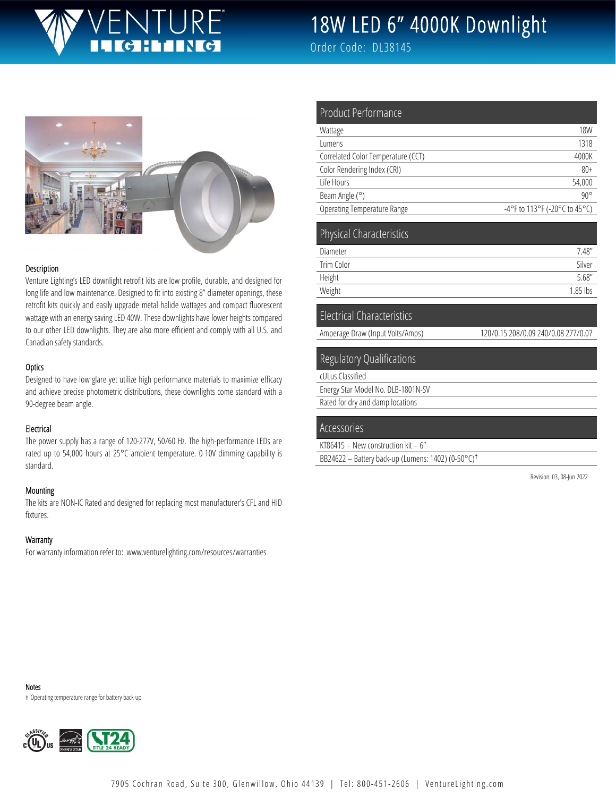## JTURE® **CHING**

# 18W LED 6" 4000K Downlight

Order Code: DL38145



#### Description

Venture Lighting's LED downlight retrofit kits are low profile, durable, and designed for long life and low maintenance. Designed to fit into existing 8" diameter openings, these retrofit kits quickly and easily upgrade metal halide wattages and compact fluorescent wattage with an energy saving LED 40W. These downlights have lower heights compared to our other LED downlights. They are also more efficient and comply with all U.S. and Canadian safety standards.

#### **Optics**

Designed to have low glare yet utilize high performance materials to maximize efficacy and achieve precise photometric distributions, these downlights come standard with a 90-degree beam angle.

## Electrical

The power supply has a range of 120-277V, 50/60 Hz. The high-performance LEDs are rated up to 54,000 hours at 25°C ambient temperature. 0-10V dimming capability is standard.

#### Mounting

The kits are NON-IC Rated and designed for replacing most manufacturer's CFL and HID fixtures.

## **Warranty**

For warranty information refer to: www.venturelighting.com/resources/warranties

| Product Performance                |                               |
|------------------------------------|-------------------------------|
| Wattage                            | <b>18W</b>                    |
| Lumens                             | 1318                          |
| Correlated Color Temperature (CCT) | 4000K                         |
| Color Rendering Index (CRI)        | $80+$                         |
| Life Hours                         | 54,000                        |
| Beam Angle (°)                     | $90^{\circ}$                  |
| Operating Temperature Range        | -4°F to 113°F (-20°C to 45°C) |
| <b>Physical Characteristics</b>    |                               |
| Diameter                           | 7.48''                        |
| <b>Trim Color</b>                  | Silver                        |
| Height                             | 5.68''                        |
| Weight                             | $1.85$ lbs                    |

## Electrical Characteristics

Amperage Draw (Input Volts/Amps) 120/0.15 208/0.09 240/0.08 277/0.07

## Regulatory Qualifications

cULus Classified

Energy Star Model No. DLB-1801N-SV

Rated for dry and damp locations

## Accessories

KT86415 – New construction kit – 6"

BB24622 – Battery back-up (Lumens: 1402) (0-50°C)†

Revision: 03, 08-Jun 2022

Notes

† Operating temperature range for battery back-up